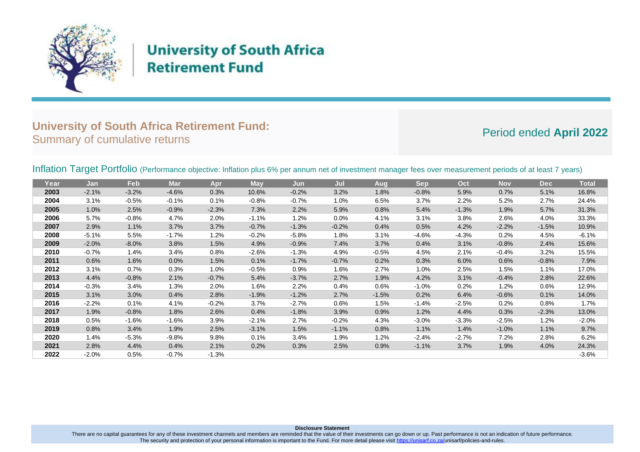

# **University of South Africa Retirement Fund**

## **University of South Africa Retirement Fund:** Summary of cumulative returns **Period ended** April 2022

## Inflation Target Portfolio (Performance objective: Inflation plus 6% per annum net of investment manager fees over measurement periods of at least 7 years)

| Year | Jan     | Feb      | <b>Mar</b> | Apr     | <b>May</b> | Jun     | Jul     | <b>Aug</b> | <b>Sep</b> | Oct     | <b>Nov</b> | <b>Dec</b> | <b>Total</b> |
|------|---------|----------|------------|---------|------------|---------|---------|------------|------------|---------|------------|------------|--------------|
| 2003 | $-2.1%$ | $-3.2%$  | $-4.6%$    | 0.3%    | 10.6%      | $-0.2%$ | 3.2%    | 1.8%       | $-0.8%$    | 5.9%    | 0.7%       | 5.1%       | 16.8%        |
| 2004 | 3.1%    | $-0.5%$  | $-0.1%$    | 0.1%    | $-0.8%$    | $-0.7%$ | 1.0%    | 6.5%       | 3.7%       | 2.2%    | 5.2%       | 2.7%       | 24.4%        |
| 2005 | 1.0%    | 2.5%     | $-0.9%$    | $-2.3%$ | 7.3%       | 2.2%    | 5.9%    | 0.8%       | 5.4%       | $-1.3%$ | 1.9%       | 5.7%       | 31.3%        |
| 2006 | 5.7%    | $-0.8%$  | 4.7%       | 2.0%    | $-1.1%$    | 1.2%    | 0.0%    | 4.1%       | 3.1%       | 3.8%    | 2.6%       | 4.0%       | 33.3%        |
| 2007 | 2.9%    | 1.1%     | 3.7%       | 3.7%    | $-0.7%$    | $-1.3%$ | $-0.2%$ | 0.4%       | 0.5%       | 4.2%    | $-2.2%$    | $-1.5%$    | 10.9%        |
| 2008 | $-5.1%$ | 5.5%     | $-1.7%$    | 1.2%    | $-0.2%$    | $-5.8%$ | 1.8%    | 3.1%       | $-4.6%$    | $-4.3%$ | 0.2%       | 4.5%       | $-6.1%$      |
| 2009 | $-2.0%$ | $-8.0\%$ | 3.8%       | 1.5%    | 4.9%       | $-0.9%$ | 7.4%    | 3.7%       | 0.4%       | 3.1%    | $-0.8%$    | 2.4%       | 15.6%        |
| 2010 | $-0.7%$ | 1.4%     | 3.4%       | 0.8%    | $-2.6%$    | $-1.3%$ | 4.9%    | $-0.5%$    | 4.5%       | 2.1%    | $-0.4%$    | 3.2%       | 15.5%        |
| 2011 | 0.6%    | 1.6%     | 0.0%       | 1.5%    | 0.1%       | $-1.7%$ | $-0.7%$ | 0.2%       | 0.3%       | 6.0%    | 0.6%       | $-0.8%$    | 7.9%         |
| 2012 | 3.1%    | 0.7%     | 0.3%       | 1.0%    | $-0.5%$    | 0.9%    | 1.6%    | 2.7%       | 1.0%       | 2.5%    | 1.5%       | 1.1%       | 17.0%        |
| 2013 | 4.4%    | $-0.8%$  | 2.1%       | $-0.7%$ | 5.4%       | $-3.7%$ | 2.7%    | 1.9%       | 4.2%       | 3.1%    | $-0.4%$    | 2.8%       | 22.6%        |
| 2014 | $-0.3%$ | 3.4%     | 1.3%       | 2.0%    | 1.6%       | 2.2%    | 0.4%    | 0.6%       | $-1.0%$    | 0.2%    | 1.2%       | 0.6%       | 12.9%        |
| 2015 | 3.1%    | 3.0%     | 0.4%       | 2.8%    | $-1.9%$    | $-1.2%$ | 2.7%    | $-1.5%$    | 0.2%       | 6.4%    | $-0.6%$    | 0.1%       | 14.0%        |
| 2016 | $-2.2%$ | 0.1%     | 4.1%       | $-0.2%$ | 3.7%       | $-2.7%$ | 0.6%    | 1.5%       | $-1.4%$    | $-2.5%$ | 0.2%       | 0.8%       | 1.7%         |
| 2017 | 1.9%    | $-0.8%$  | 1.8%       | 2.6%    | 0.4%       | $-1.8%$ | 3.9%    | 0.9%       | 1.2%       | 4.4%    | 0.3%       | $-2.3%$    | 13.0%        |
| 2018 | 0.5%    | $-1.6%$  | $-1.6%$    | 3.9%    | $-2.1%$    | 2.7%    | $-0.2%$ | 4.3%       | $-3.0%$    | $-3.3%$ | $-2.5%$    | 1.2%       | $-2.0%$      |
| 2019 | 0.8%    | 3.4%     | 1.9%       | 2.5%    | $-3.1%$    | 1.5%    | $-1.1%$ | 0.8%       | 1.1%       | 1.4%    | $-1.0%$    | 1.1%       | 9.7%         |
| 2020 | 1.4%    | $-5.3\%$ | $-9.8%$    | 9.8%    | 0.1%       | 3.4%    | 1.9%    | 1.2%       | $-2.4%$    | $-2.7%$ | 7.2%       | 2.8%       | 6.2%         |
| 2021 | 2.8%    | 4.4%     | 0.4%       | 2.1%    | 0.2%       | 0.3%    | 2.5%    | 0.9%       | $-1.1%$    | 3.7%    | 1.9%       | 4.0%       | 24.3%        |
| 2022 | $-2.0%$ | 0.5%     | $-0.7%$    | $-1.3%$ |            |         |         |            |            |         |            |            | $-3.6%$      |

There are no capital guarantees for any of these investment channels and members are reminded that the value of their investments can go down or up. Past performance is not an indication of future performance. The security and protection of your personal information is important to the Fund. For more detail please visit [https://unisarf.co.za/u](https://unisarf.co.za/)nisarf/policies-and-rules.

**Disclosure Statement**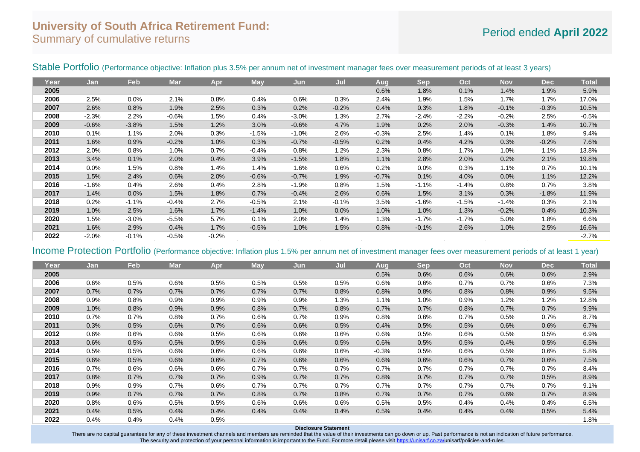## **University of South Africa Retirement Fund:** Summary of cumulative returns **Period ended** April 2022<br>Summary of cumulative returns

| Year | Jan     | Feb     | <b>Mar</b> | Apr     | May     | Jun     | Jul     | Aug     | <b>Sep</b> | Oct     | <b>Nov</b> | <b>Dec</b> | <b>Total</b> |
|------|---------|---------|------------|---------|---------|---------|---------|---------|------------|---------|------------|------------|--------------|
| 2005 |         |         |            |         |         |         |         | 0.6%    | 1.8%       | 0.1%    | 1.4%       | 1.9%       | 5.9%         |
| 2006 | 2.5%    | 0.0%    | 2.1%       | 0.8%    | 0.4%    | 0.6%    | 0.3%    | 2.4%    | 1.9%       | 1.5%    | 1.7%       | 1.7%       | 17.0%        |
| 2007 | 2.6%    | 0.8%    | 1.9%       | 2.5%    | 0.3%    | 0.2%    | $-0.2%$ | 0.4%    | 0.3%       | 1.8%    | $-0.1%$    | $-0.3%$    | 10.5%        |
| 2008 | $-2.3%$ | 2.2%    | $-0.6%$    | 1.5%    | 0.4%    | $-3.0%$ | 1.3%    | 2.7%    | $-2.4%$    | $-2.2%$ | $-0.2%$    | 2.5%       | $-0.5%$      |
| 2009 | $-0.6%$ | $-3.8%$ | 1.5%       | 1.2%    | 3.0%    | $-0.6%$ | 4.7%    | 1.9%    | 0.2%       | 2.0%    | $-0.3%$    | 1.4%       | 10.7%        |
| 2010 | 0.1%    | 1.1%    | 2.0%       | 0.3%    | $-1.5%$ | $-1.0%$ | 2.6%    | $-0.3%$ | 2.5%       | 1.4%    | 0.1%       | 1.8%       | 9.4%         |
| 2011 | 1.6%    | 0.9%    | $-0.2%$    | 1.0%    | 0.3%    | $-0.7%$ | $-0.5%$ | 0.2%    | 0.4%       | 4.2%    | 0.3%       | $-0.2%$    | 7.6%         |
| 2012 | 2.0%    | 0.8%    | 1.0%       | 0.7%    | $-0.4%$ | 0.8%    | 1.2%    | 2.3%    | 0.8%       | 1.7%    | 1.0%       | 1.1%       | 13.8%        |
| 2013 | 3.4%    | 0.1%    | 2.0%       | 0.4%    | 3.9%    | $-1.5%$ | 1.8%    | 1.1%    | 2.8%       | 2.0%    | 0.2%       | 2.1%       | 19.8%        |
| 2014 | 0.0%    | 1.5%    | 0.8%       | 1.4%    | 1.4%    | 1.6%    | 0.6%    | 0.2%    | $0.0\%$    | 0.3%    | 1.1%       | 0.7%       | 10.1%        |
| 2015 | 1.5%    | 2.4%    | 0.6%       | 2.0%    | $-0.6%$ | $-0.7%$ | 1.9%    | $-0.7%$ | 0.1%       | 4.0%    | 0.0%       | 1.1%       | 12.2%        |
| 2016 | $-1.6%$ | 0.4%    | 2.6%       | 0.4%    | 2.8%    | $-1.9%$ | 0.8%    | 1.5%    | $-1.1%$    | $-1.4%$ | 0.8%       | 0.7%       | 3.8%         |
| 2017 | 1.4%    | 0.0%    | 1.5%       | 1.8%    | 0.7%    | $-0.4%$ | 2.6%    | 0.6%    | 1.5%       | 3.1%    | 0.3%       | $-1.8%$    | 11.9%        |
| 2018 | 0.2%    | $-1.1%$ | $-0.4%$    | 2.7%    | $-0.5%$ | 2.1%    | $-0.1%$ | 3.5%    | $-1.6%$    | $-1.5%$ | $-1.4%$    | 0.3%       | 2.1%         |
| 2019 | 1.0%    | 2.5%    | 1.6%       | 1.7%    | $-1.4%$ | 1.0%    | 0.0%    | 1.0%    | 1.0%       | 1.3%    | $-0.2%$    | 0.4%       | 10.3%        |
| 2020 | 1.5%    | $-3.0%$ | $-5.5%$    | 5.7%    | 0.1%    | 2.0%    | 1.4%    | 1.3%    | $-1.7%$    | $-1.7%$ | 5.0%       | 1.8%       | 6.6%         |
| 2021 | 1.6%    | 2.9%    | 0.4%       | 1.7%    | $-0.5%$ | 1.0%    | 1.5%    | 0.8%    | $-0.1%$    | 2.6%    | 1.0%       | 2.5%       | 16.6%        |
| 2022 | $-2.0%$ | $-0.1%$ | $-0.5%$    | $-0.2%$ |         |         |         |         |            |         |            |            | $-2.7%$      |

### Stable Portfolio (Performance objective: Inflation plus 3.5% per annum net of investment manager fees over measurement periods of at least 3 years)

## Income Protection Portfolio (Performance objective: Inflation plus 1.5% per annum net of investment manager fees over measurement periods of at least 1 year)

| Year | Jan  | <b>Feb</b> | <b>Mar</b> | Apr  | <b>May</b> | Jun  | Jul  | Aug     | <b>Sep</b> | Oct  | <b>Nov</b> | <b>Dec</b> | <b>Total</b> |
|------|------|------------|------------|------|------------|------|------|---------|------------|------|------------|------------|--------------|
| 2005 |      |            |            |      |            |      |      | 0.5%    | 0.6%       | 0.6% | 0.6%       | 0.6%       | 2.9%         |
| 2006 | 0.6% | 0.5%       | 0.6%       | 0.5% | 0.5%       | 0.5% | 0.5% | 0.6%    | 0.6%       | 0.7% | 0.7%       | 0.6%       | 7.3%         |
| 2007 | 0.7% | 0.7%       | 0.7%       | 0.7% | 0.7%       | 0.7% | 0.8% | 0.8%    | 0.8%       | 0.8% | 0.8%       | 0.9%       | 9.5%         |
| 2008 | 0.9% | 0.8%       | 0.9%       | 0.9% | 0.9%       | 0.9% | 1.3% | 1.1%    | 1.0%       | 0.9% | 1.2%       | 1.2%       | 12.8%        |
| 2009 | 1.0% | 0.8%       | 0.9%       | 0.9% | 0.8%       | 0.7% | 0.8% | 0.7%    | 0.7%       | 0.8% | 0.7%       | 0.7%       | 9.9%         |
| 2010 | 0.7% | 0.7%       | 0.8%       | 0.7% | 0.6%       | 0.7% | 0.9% | 0.8%    | 0.6%       | 0.7% | 0.5%       | 0.7%       | 8.7%         |
| 2011 | 0.3% | 0.5%       | 0.6%       | 0.7% | 0.6%       | 0.6% | 0.5% | 0.4%    | 0.5%       | 0.5% | 0.6%       | 0.6%       | 6.7%         |
| 2012 | 0.6% | 0.6%       | 0.6%       | 0.5% | 0.6%       | 0.6% | 0.6% | 0.6%    | 0.5%       | 0.6% | 0.5%       | 0.5%       | 6.9%         |
| 2013 | 0.6% | 0.5%       | 0.5%       | 0.5% | 0.5%       | 0.6% | 0.5% | 0.6%    | 0.5%       | 0.5% | 0.4%       | 0.5%       | 6.5%         |
| 2014 | 0.5% | 0.5%       | 0.6%       | 0.6% | 0.6%       | 0.6% | 0.6% | $-0.3%$ | 0.5%       | 0.6% | 0.5%       | 0.6%       | 5.8%         |
| 2015 | 0.6% | 0.5%       | 0.6%       | 0.6% | 0.7%       | 0.6% | 0.6% | 0.6%    | 0.6%       | 0.6% | 0.7%       | 0.6%       | 7.5%         |
| 2016 | 0.7% | 0.6%       | 0.6%       | 0.6% | 0.7%       | 0.7% | 0.7% | 0.7%    | 0.7%       | 0.7% | 0.7%       | 0.7%       | 8.4%         |
| 2017 | 0.8% | 0.7%       | 0.7%       | 0.7% | 0.9%       | 0.7% | 0.7% | 0.8%    | 0.7%       | 0.7% | 0.7%       | 0.5%       | 8.9%         |
| 2018 | 0.9% | 0.9%       | 0.7%       | 0.6% | 0.7%       | 0.7% | 0.7% | 0.7%    | 0.7%       | 0.7% | 0.7%       | 0.7%       | 9.1%         |
| 2019 | 0.9% | 0.7%       | 0.7%       | 0.7% | 0.8%       | 0.7% | 0.8% | 0.7%    | 0.7%       | 0.7% | 0.6%       | 0.7%       | 8.9%         |
| 2020 | 0.8% | 0.6%       | 0.5%       | 0.5% | 0.6%       | 0.6% | 0.6% | 0.5%    | 0.5%       | 0.4% | 0.4%       | 0.4%       | 6.5%         |
| 2021 | 0.4% | 0.5%       | 0.4%       | 0.4% | 0.4%       | 0.4% | 0.4% | 0.5%    | 0.4%       | 0.4% | 0.4%       | 0.5%       | 5.4%         |
| 2022 | 0.4% | 0.4%       | 0.4%       | 0.5% |            |      |      |         |            |      |            |            | 1.8%         |
|      |      |            |            |      |            |      |      |         |            |      |            |            |              |

### **Disclosure Statement**

There are no capital guarantees for any of these investment channels and members are reminded that the value of their investments can go down or up. Past performance is not an indication of future performance. The security and protection of your personal information is important to the Fund. For more detail please visit [https://unisarf.co.za/u](https://unisarf.co.za/)nisarf/policies-and-rules.